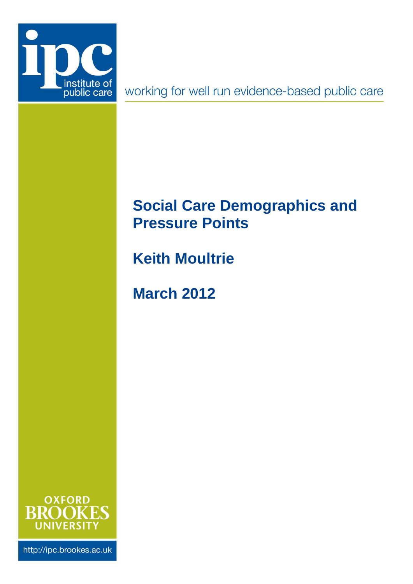

working for well run evidence-based public care

# <span id="page-0-0"></span>**Social Care Demographics and Pressure Points**

**Keith Moultrie**

**March 2012**



http://ipc.brookes.ac.uk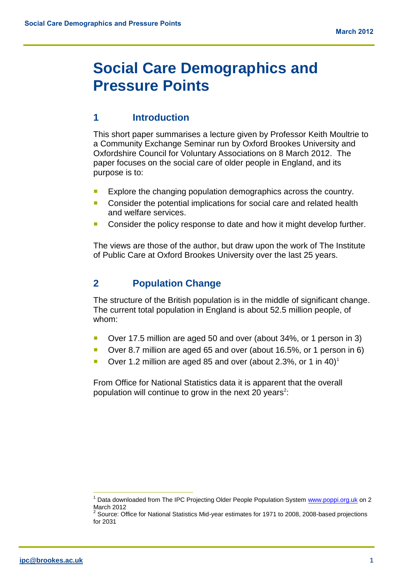## **[Social Care Demographics and](#page-0-0)  [Pressure Points](#page-0-0)**

## **1 Introduction**

This short paper summarises a lecture given by Professor Keith Moultrie to a Community Exchange Seminar run by Oxford Brookes University and Oxfordshire Council for Voluntary Associations on 8 March 2012. The paper focuses on the social care of older people in England, and its purpose is to:

- **Explore the changing population demographics across the country.**
- Consider the potential implications for social care and related health and welfare services.
- Consider the policy response to date and how it might develop further.

The views are those of the author, but draw upon the work of The Institute of Public Care at Oxford Brookes University over the last 25 years.

## **2 Population Change**

The structure of the British population is in the middle of significant change. The current total population in England is about 52.5 million people, of whom:

- Over 17.5 million are aged 50 and over (about 34%, or 1 person in 3)
- Over 8.7 million are aged 65 and over (about 16.5%, or 1 person in 6)
- Over 1.2 million are aged 85 and over (about 2.3%, or 1 in 40)<sup>1</sup>

From Office for National Statistics data it is apparent that the overall population will continue to grow in the next 20 years<sup>2</sup>:

<sup>&</sup>lt;sup>1</sup> Data downloaded from The IPC Projecting Older People Population System [www.poppi.org.uk](http://www.poppi.org.uk/) on 2 March 2012

 $2$  Source: Office for National Statistics Mid-year estimates for 1971 to 2008, 2008-based projections for 2031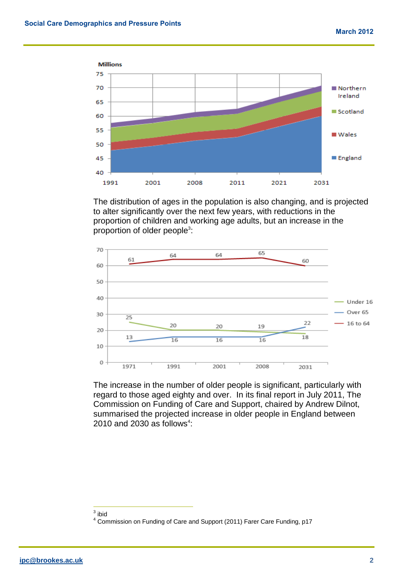

The distribution of ages in the population is also changing, and is projected to alter significantly over the next few years, with reductions in the proportion of children and working age adults, but an increase in the proportion of older people<sup>3</sup>:



The increase in the number of older people is significant, particularly with regard to those aged eighty and over. In its final report in July 2011, The Commission on Funding of Care and Support, chaired by Andrew Dilnot, summarised the projected increase in older people in England between 2010 and 2030 as follows $4$ :

<sup>&</sup>lt;u>a</u><br>a<br>bid

<sup>4</sup> Commission on Funding of Care and Support (2011) Farer Care Funding, p17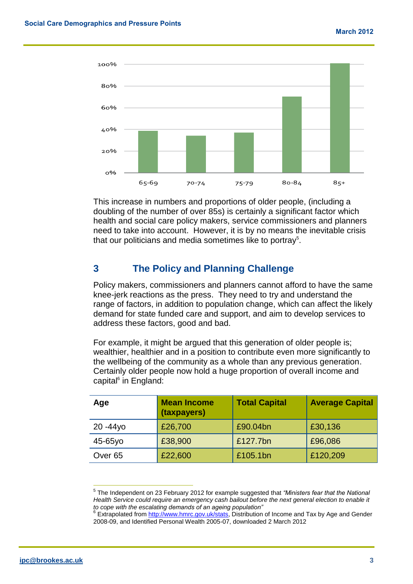

This increase in numbers and proportions of older people, (including a doubling of the number of over 85s) is certainly a significant factor which health and social care policy makers, service commissioners and planners need to take into account. However, it is by no means the inevitable crisis that our politicians and media sometimes like to portray<sup>5</sup>.

## **3 The Policy and Planning Challenge**

Policy makers, commissioners and planners cannot afford to have the same knee-jerk reactions as the press. They need to try and understand the range of factors, in addition to population change, which can affect the likely demand for state funded care and support, and aim to develop services to address these factors, good and bad.

For example, it might be argued that this generation of older people is; wealthier, healthier and in a position to contribute even more significantly to the wellbeing of the community as a whole than any previous generation. Certainly older people now hold a huge proportion of overall income and capital<sup>6</sup> in England:

| Age                | <b>Mean Income</b><br>(taxpayers) | <b>Total Capital</b> | <b>Average Capital</b> |
|--------------------|-----------------------------------|----------------------|------------------------|
| $20 - 44y$ o       | £26,700                           | £90.04bn             | £30,136                |
| 45-65yo            | £38,900                           | £127.7bn             | £96,086                |
| Over <sub>65</sub> | £22,600                           | £105.1bn             | £120,209               |

<sup>5</sup> The Independent on 23 February 2012 for example suggested that *"Ministers fear that the National*  Health Service could require an emergency cash bailout before the next general election to enable it *to cope with the escalating demands of an ageing population"*<br><sup>6</sup> Extrapolated from <u>http://www.hmrc.gov.uk/stats</u>, Distribution of Income and Tax by Age and Gender

 $\overline{\phantom{a}}$ 

<sup>2008-09,</sup> and Identified Personal Wealth 2005-07, downloaded 2 March 2012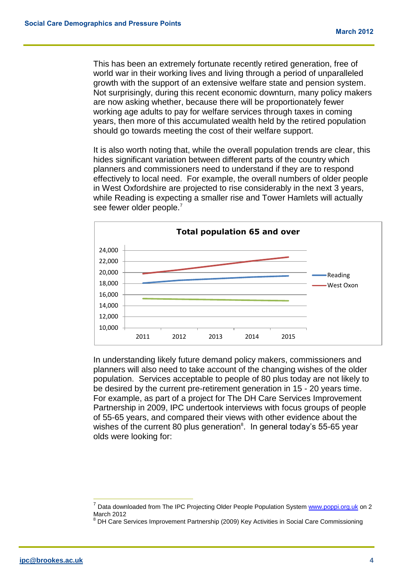This has been an extremely fortunate recently retired generation, free of world war in their working lives and living through a period of unparalleled growth with the support of an extensive welfare state and pension system. Not surprisingly, during this recent economic downturn, many policy makers are now asking whether, because there will be proportionately fewer working age adults to pay for welfare services through taxes in coming years, then more of this accumulated wealth held by the retired population should go towards meeting the cost of their welfare support.

It is also worth noting that, while the overall population trends are clear, this hides significant variation between different parts of the country which planners and commissioners need to understand if they are to respond effectively to local need. For example, the overall numbers of older people in West Oxfordshire are projected to rise considerably in the next 3 years, while Reading is expecting a smaller rise and Tower Hamlets will actually see fewer older people.<sup>7</sup>



In understanding likely future demand policy makers, commissioners and planners will also need to take account of the changing wishes of the older population. Services acceptable to people of 80 plus today are not likely to be desired by the current pre-retirement generation in 15 - 20 years time. For example, as part of a project for The DH Care Services Improvement Partnership in 2009, IPC undertook interviews with focus groups of people of 55-65 years, and compared their views with other evidence about the wishes of the current 80 plus generation $^8$ . In general today's 55-65 year olds were looking for:

<sup>7</sup> Data downloaded from The IPC Projecting Older People Population Syste[m www.poppi.org.uk](http://www.poppi.org.uk/) on 2 March 2012

<sup>&</sup>lt;sup>8</sup> DH Care Services Improvement Partnership (2009) Key Activities in Social Care Commissioning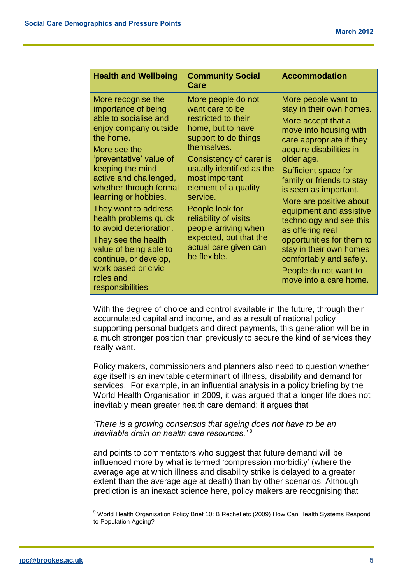| <b>Health and Wellbeing</b>                                                                                                                                                                                                                                                                                                                                                                                                                                        | <b>Community Social</b><br>Care                                                                                                                                                                                                                                                                                                                                                | <b>Accommodation</b>                                                                                                                                                                                                                                                                                                                                                                                                                                                                          |
|--------------------------------------------------------------------------------------------------------------------------------------------------------------------------------------------------------------------------------------------------------------------------------------------------------------------------------------------------------------------------------------------------------------------------------------------------------------------|--------------------------------------------------------------------------------------------------------------------------------------------------------------------------------------------------------------------------------------------------------------------------------------------------------------------------------------------------------------------------------|-----------------------------------------------------------------------------------------------------------------------------------------------------------------------------------------------------------------------------------------------------------------------------------------------------------------------------------------------------------------------------------------------------------------------------------------------------------------------------------------------|
| More recognise the<br>importance of being<br>able to socialise and<br>enjoy company outside<br>the home.<br>More see the<br>'preventative' value of<br>keeping the mind<br>active and challenged,<br>whether through formal<br>learning or hobbies.<br>They want to address<br>health problems quick<br>to avoid deterioration.<br>They see the health<br>value of being able to<br>continue, or develop,<br>work based or civic<br>roles and<br>responsibilities. | More people do not<br>want care to be<br>restricted to their<br>home, but to have<br>support to do things<br>themselves.<br>Consistency of carer is<br>usually identified as the<br>most important<br>element of a quality<br>service.<br>People look for<br>reliability of visits,<br>people arriving when<br>expected, but that the<br>actual care given can<br>be flexible. | More people want to<br>stay in their own homes.<br>More accept that a<br>move into housing with<br>care appropriate if they<br>acquire disabilities in<br>older age.<br>Sufficient space for<br>family or friends to stay<br>is seen as important.<br>More are positive about<br>equipment and assistive<br>technology and see this<br>as offering real<br>opportunities for them to<br>stay in their own homes<br>comfortably and safely.<br>People do not want to<br>move into a care home. |

With the degree of choice and control available in the future, through their accumulated capital and income, and as a result of national policy supporting personal budgets and direct payments, this generation will be in a much stronger position than previously to secure the kind of services they really want.

Policy makers, commissioners and planners also need to question whether age itself is an inevitable determinant of illness, disability and demand for services. For example, in an influential analysis in a policy briefing by the World Health Organisation in 2009, it was argued that a longer life does not inevitably mean greater health care demand: it argues that

#### *'There is a growing consensus that ageing does not have to be an inevitable drain on health care resources.'* <sup>9</sup>

and points to commentators who suggest that future demand will be influenced more by what is termed 'compression morbidity' (where the average age at which illness and disability strike is delayed to a greater extent than the average age at death) than by other scenarios. Although prediction is an inexact science here, policy makers are recognising that

<sup>&</sup>lt;sup>9</sup> World Health Organisation Policy Brief 10: B Rechel etc (2009) How Can Health Systems Respond to Population Ageing?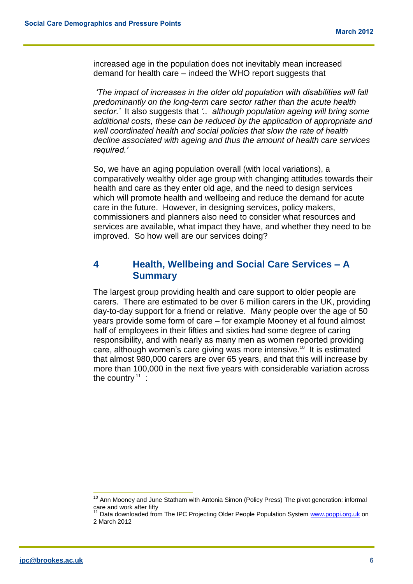increased age in the population does not inevitably mean increased demand for health care – indeed the WHO report suggests that

*'The impact of increases in the older old population with disabilities will fall predominantly on the long-term care sector rather than the acute health sector.'* It also suggests that *'.. although population ageing will bring some additional costs, these can be reduced by the application of appropriate and well coordinated health and social policies that slow the rate of health decline associated with ageing and thus the amount of health care services required.'*

So, we have an aging population overall (with local variations), a comparatively wealthy older age group with changing attitudes towards their health and care as they enter old age, and the need to design services which will promote health and wellbeing and reduce the demand for acute care in the future. However, in designing services, policy makers, commissioners and planners also need to consider what resources and services are available, what impact they have, and whether they need to be improved. So how well are our services doing?

### **4 Health, Wellbeing and Social Care Services – A Summary**

The largest group providing health and care support to older people are carers. There are estimated to be over 6 million carers in the UK, providing day-to-day support for a friend or relative. Many people over the age of 50 years provide some form of care – for example Mooney et al found almost half of employees in their fifties and sixties had some degree of caring responsibility, and with nearly as many men as women reported providing care, although women's care giving was more intensive.<sup>10</sup> It is estimated that almost 980,000 carers are over 65 years, and that this will increase by more than 100,000 in the next five years with considerable variation across the country  $11$  :

<sup>&</sup>lt;sup>10</sup> Ann Mooney and June Statham with Antonia Simon (Policy Press) The pivot generation: informal care and work after fifty

<sup>&</sup>lt;sup>11</sup> Data downloaded from The IPC Projecting Older People Population System [www.poppi.org.uk](http://www.poppi.org.uk/) on 2 March 2012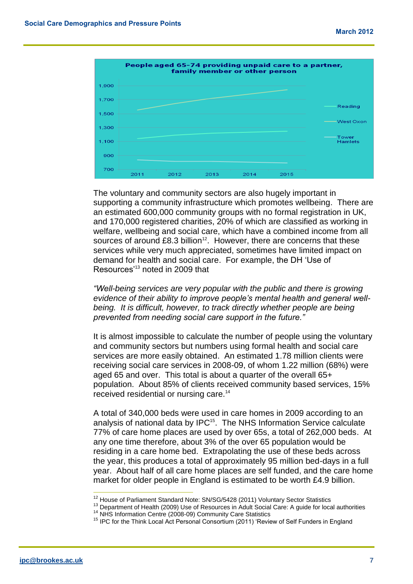

The voluntary and community sectors are also hugely important in supporting a community infrastructure which promotes wellbeing. There are an estimated 600,000 community groups with no formal registration in UK, and 170,000 registered charities, 20% of which are classified as working in welfare, wellbeing and social care, which have a combined income from all sources of around  $£8.3$  billion<sup>12</sup>. However, there are concerns that these services while very much appreciated, sometimes have limited impact on demand for health and social care. For example, the DH 'Use of Resources'<sup>13</sup> noted in 2009 that

*"Well-being services are very popular with the public and there is growing evidence of their ability to improve people's mental health and general well*being. It is difficult, however, to track directly whether people are being *prevented from needing social care support in the future."*

It is almost impossible to calculate the number of people using the voluntary and community sectors but numbers using formal health and social care services are more easily obtained. An estimated 1.78 million clients were receiving social care services in 2008-09, of whom 1.22 million (68%) were aged 65 and over. This total is about a quarter of the overall 65+ population. About 85% of clients received community based services, 15% received residential or nursing care.<sup>14</sup>

A total of 340,000 beds were used in care homes in 2009 according to an analysis of national data by IPC<sup>15</sup>. The NHS Information Service calculate 77% of care home places are used by over 65s, a total of 262,000 beds. At any one time therefore, about 3% of the over 65 population would be residing in a care home bed. Extrapolating the use of these beds across the year, this produces a total of approximately 95 million bed-days in a full year. About half of all care home places are self funded, and the care home market for older people in England is estimated to be worth £4.9 billion.

 $12$  House of Parliament Standard Note: SN/SG/5428 (2011) Voluntary Sector Statistics

<sup>&</sup>lt;sup>13</sup> Department of Health (2009) Use of Resources in Adult Social Care: A guide for local authorities <sup>14</sup> NHS Information Centre (2008-09) Community Care Statistics

<sup>&</sup>lt;sup>15</sup> IPC for the Think Local Act Personal Consortium (2011) 'Review of Self Funders in England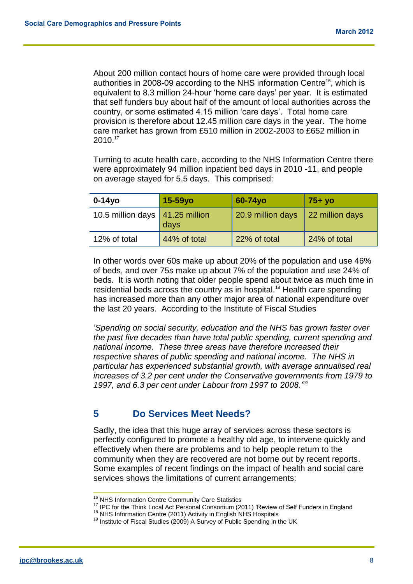About 200 million contact hours of home care were provided through local authorities in 2008-09 according to the NHS information Centre<sup>16</sup>, which is equivalent to 8.3 million 24-hour 'home care days' per year. It is estimated that self funders buy about half of the amount of local authorities across the country, or some estimated 4.15 million 'care days'. Total home care provision is therefore about 12.45 million care days in the year. The home care market has grown from £510 million in 2002-2003 to £652 million in 2010.<sup>17</sup>

Turning to acute health care, according to the NHS Information Centre there were approximately 94 million inpatient bed days in 2010 -11, and people on average stayed for 5.5 days. This comprised:

| $0-14$ yo                                | $15-59y$ o   | 60-74yo           | $75+$ yo        |
|------------------------------------------|--------------|-------------------|-----------------|
| 10.5 million days $\sqrt{41.25}$ million | days         | 20.9 million days | 22 million days |
| 12% of total                             | 44% of total | 22% of total      | 24% of total    |

In other words over 60s make up about 20% of the population and use 46% of beds, and over 75s make up about 7% of the population and use 24% of beds. It is worth noting that older people spend about twice as much time in residential beds across the country as in hospital.<sup>18</sup> Health care spending has increased more than any other major area of national expenditure over the last 20 years. According to the Institute of Fiscal Studies

'*Spending on social security, education and the NHS has grown faster over the past five decades than have total public spending, current spending and national income. These three areas have therefore increased their respective shares of public spending and national income. The NHS in particular has experienced substantial growth, with average annualised real increases of 3.2 per cent under the Conservative governments from 1979 to 1997, and 6.3 per cent under Labour from 1997 to 2008.'<sup>19</sup>*

## **5 Do Services Meet Needs?**

Sadly, the idea that this huge array of services across these sectors is perfectly configured to promote a healthy old age, to intervene quickly and effectively when there are problems and to help people return to the community when they are recovered are not borne out by recent reports. Some examples of recent findings on the impact of health and social care services shows the limitations of current arrangements:

<sup>&</sup>lt;sup>16</sup> NHS Information Centre Community Care Statistics

<sup>&</sup>lt;sup>17</sup> IPC for the Think Local Act Personal Consortium (2011) 'Review of Self Funders in England

<sup>&</sup>lt;sup>18</sup> NHS Information Centre (2011) Activity in English NHS Hospitals

<sup>&</sup>lt;sup>19</sup> Institute of Fiscal Studies (2009) A Survey of Public Spending in the UK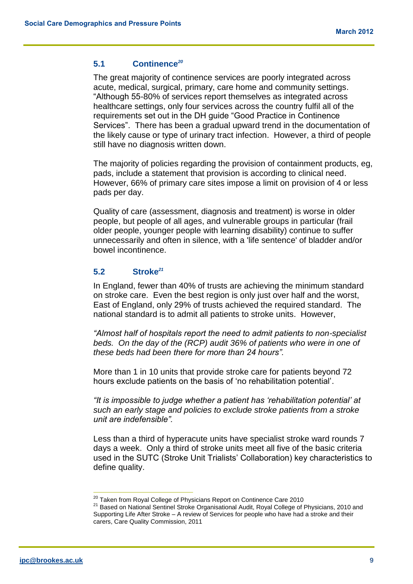#### **5.1 Continence***<sup>20</sup>*

The great majority of continence services are poorly integrated across acute, medical, surgical, primary, care home and community settings. "Although 55-80% of services report themselves as integrated across healthcare settings, only four services across the country fulfil all of the requirements set out in the DH guide "Good Practice in Continence Services". There has been a gradual upward trend in the documentation of the likely cause or type of urinary tract infection. However, a third of people still have no diagnosis written down.

The majority of policies regarding the provision of containment products, eg, pads, include a statement that provision is according to clinical need. However, 66% of primary care sites impose a limit on provision of 4 or less pads per day.

Quality of care (assessment, diagnosis and treatment) is worse in older people, but people of all ages, and vulnerable groups in particular (frail older people, younger people with learning disability) continue to suffer unnecessarily and often in silence, with a 'life sentence' of bladder and/or bowel incontinence.

#### **5.2 Stroke***<sup>21</sup>*

In England, fewer than 40% of trusts are achieving the minimum standard on stroke care. Even the best region is only just over half and the worst, East of England, only 29% of trusts achieved the required standard. The national standard is to admit all patients to stroke units. However,

*"Almost half of hospitals report the need to admit patients to non-specialist beds. On the day of the (RCP) audit 36% of patients who were in one of these beds had been there for more than 24 hours".* 

More than 1 in 10 units that provide stroke care for patients beyond 72 hours exclude patients on the basis of 'no rehabilitation potential'.

*"It is impossible to judge whether a patient has 'rehabilitation potential' at such an early stage and policies to exclude stroke patients from a stroke unit are indefensible".*

Less than a third of hyperacute units have specialist stroke ward rounds 7 days a week. Only a third of stroke units meet all five of the basic criteria used in the SUTC (Stroke Unit Trialists' Collaboration) key characteristics to define quality.

<sup>&</sup>lt;sup>20</sup> Taken from Royal College of Physicians Report on Continence Care 2010

<sup>&</sup>lt;sup>21</sup> Based on National Sentinel Stroke Organisational Audit, Royal College of Physicians, 2010 and Supporting Life After Stroke – A review of Services for people who have had a stroke and their carers, Care Quality Commission, 2011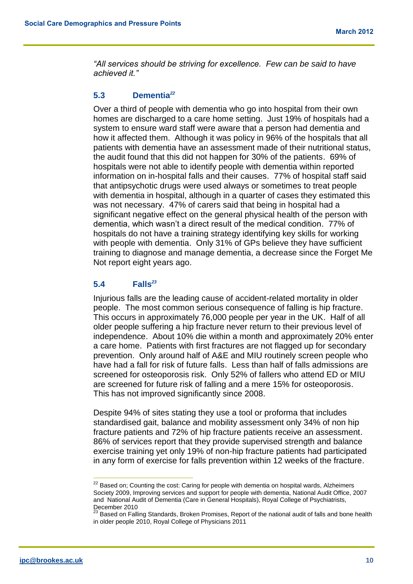*"All services should be striving for excellence. Few can be said to have achieved it."*

#### **5.3 Dementia***<sup>22</sup>*

Over a third of people with dementia who go into hospital from their own homes are discharged to a care home setting. Just 19% of hospitals had a system to ensure ward staff were aware that a person had dementia and how it affected them. Although it was policy in 96% of the hospitals that all patients with dementia have an assessment made of their nutritional status, the audit found that this did not happen for 30% of the patients. 69% of hospitals were not able to identify people with dementia within reported information on in-hospital falls and their causes. 77% of hospital staff said that antipsychotic drugs were used always or sometimes to treat people with dementia in hospital, although in a quarter of cases they estimated this was not necessary. 47% of carers said that being in hospital had a significant negative effect on the general physical health of the person with dementia, which wasn't a direct result of the medical condition. 77% of hospitals do not have a training strategy identifying key skills for working with people with dementia. Only 31% of GPs believe they have sufficient training to diagnose and manage dementia, a decrease since the Forget Me Not report eight years ago.

#### **5.4 Falls***<sup>23</sup>*

Injurious falls are the leading cause of accident-related mortality in older people. The most common serious consequence of falling is hip fracture. This occurs in approximately 76,000 people per year in the UK. Half of all older people suffering a hip fracture never return to their previous level of independence. About 10% die within a month and approximately 20% enter a care home. Patients with first fractures are not flagged up for secondary prevention. Only around half of A&E and MIU routinely screen people who have had a fall for risk of future falls. Less than half of falls admissions are screened for osteoporosis risk.Only 52% of fallers who attend ED or MIU are screened for future risk of falling and a mere 15% for osteoporosis. This has not improved significantly since 2008.

Despite 94% of sites stating they use a tool or proforma that includes standardised gait, balance and mobility assessment only 34% of non hip fracture patients and 72% of hip fracture patients receive an assessment. 86% of services report that they provide supervised strength and balance exercise training yet only 19% of non-hip fracture patients had participated in any form of exercise for falls prevention within 12 weeks of the fracture.

<sup>&</sup>lt;sup>22</sup> Based on; Counting the cost: Caring for people with dementia on hospital wards, Alzheimers Society 2009, Improving services and support for people with dementia, National Audit Office, 2007 and National Audit of Dementia (Care in General Hospitals), Royal College of Psychiatrists, December 2010

 $^{23}$  Based on Falling Standards, Broken Promises, Report of the national audit of falls and bone health in older people 2010, Royal College of Physicians 2011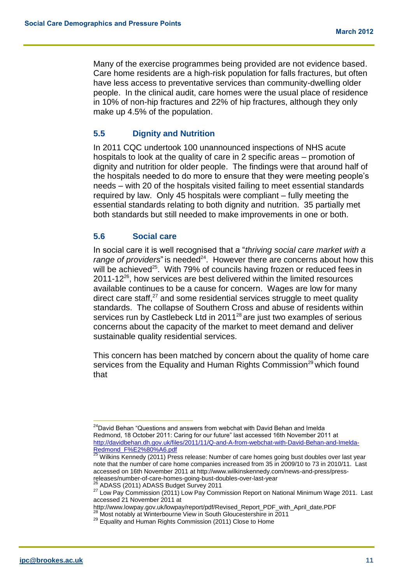Many of the exercise programmes being provided are not evidence based. Care home residents are a high-risk population for falls fractures, but often have less access to preventative services than community-dwelling older people. In the clinical audit, care homes were the usual place of residence in 10% of non-hip fractures and 22% of hip fractures, although they only make up 4.5% of the population.

#### **5.5 Dignity and Nutrition**

In 2011 CQC undertook 100 unannounced inspections of NHS acute hospitals to look at the quality of care in 2 specific areas – promotion of dignity and nutrition for older people. The findings were that around half of the hospitals needed to do more to ensure that they were meeting people's needs – with 20 of the hospitals visited failing to meet essential standards required by law. Only 45 hospitals were compliant – fully meeting the essential standards relating to both dignity and nutrition. 35 partially met both standards but still needed to make improvements in one or both.

#### **5.6 Social care**

In social care it is well recognised that a "*thriving social care market with a*  range of providers" is needed<sup>24</sup>. However there are concerns about how this will be achieved<sup>25</sup>. With 79% of councils having frozen or reduced fees in  $2011-12^{26}$ , how services are best delivered within the limited resources available continues to be a cause for concern. Wages are low for many direct care staff, $27$  and some residential services struggle to meet quality standards. The collapse of Southern Cross and abuse of residents within services run by Castlebeck Ltd in 2011<sup>28</sup> are just two examples of serious concerns about the capacity of the market to meet demand and deliver sustainable quality residential services.

This concern has been matched by concern about the quality of home care services from the Equality and Human Rights Commission<sup>29</sup> which found that

 $\overline{\phantom{a}}$ <sup>24</sup>David Behan "Questions and answers from webchat with David Behan and Imelda Redmond, 18 October 2011: Caring for our future" last accessed 16th November 2011 at [http://davidbehan.dh.gov.uk/files/2011/11/Q-and-A-from-webchat-with-David-Behan-and-Imelda-](http://davidbehan.dh.gov.uk/files/2011/11/Q-and-A-from-webchat-with-David-Behan-and-Imelda-Redmond_F%E2%80%A6.pdf)[Redmond\\_F%E2%80%A6.pdf](http://davidbehan.dh.gov.uk/files/2011/11/Q-and-A-from-webchat-with-David-Behan-and-Imelda-Redmond_F%E2%80%A6.pdf)

<sup>&</sup>lt;sup>25</sup> Wilkins Kennedy (2011) Press release: Number of care homes going bust doubles over last year note that the number of care home companies increased from 35 in 2009/10 to 73 in 2010/11. Last accessed on 16th November 2011 at http://www.wilkinskennedy.com/news-and-press/pressreleases/number-of-care-homes-going-bust-doubles-over-last-year

<sup>&</sup>lt;sup>26</sup> ADASS (2011) ADASS Budget Survey 2011

<sup>27</sup> Low Pay Commission (2011) Low Pay Commission Report on National Minimum Wage 2011. Last accessed 21 November 2011 at

http://www.lowpay.gov.uk/lowpay/report/pdf/Revised\_Report\_PDF\_with\_April\_date.PDF  $^{28}$  Most notably at Winterbourne View in South Gloucestershire in 2011

<sup>29</sup> Equality and Human Rights Commission (2011) Close to Home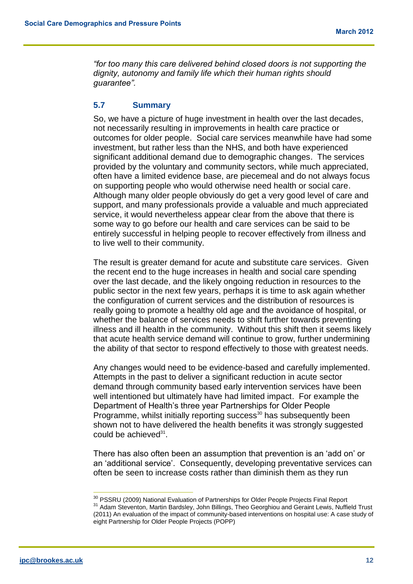*"for too many this care delivered behind closed doors is not supporting the dignity, autonomy and family life which their human rights should guarantee".*

#### **5.7 Summary**

So, we have a picture of huge investment in health over the last decades, not necessarily resulting in improvements in health care practice or outcomes for older people. Social care services meanwhile have had some investment, but rather less than the NHS, and both have experienced significant additional demand due to demographic changes. The services provided by the voluntary and community sectors, while much appreciated, often have a limited evidence base, are piecemeal and do not always focus on supporting people who would otherwise need health or social care. Although many older people obviously do get a very good level of care and support, and many professionals provide a valuable and much appreciated service, it would nevertheless appear clear from the above that there is some way to go before our health and care services can be said to be entirely successful in helping people to recover effectively from illness and to live well to their community.

The result is greater demand for acute and substitute care services. Given the recent end to the huge increases in health and social care spending over the last decade, and the likely ongoing reduction in resources to the public sector in the next few years, perhaps it is time to ask again whether the configuration of current services and the distribution of resources is really going to promote a healthy old age and the avoidance of hospital, or whether the balance of services needs to shift further towards preventing illness and ill health in the community. Without this shift then it seems likely that acute health service demand will continue to grow, further undermining the ability of that sector to respond effectively to those with greatest needs.

Any changes would need to be evidence-based and carefully implemented. Attempts in the past to deliver a significant reduction in acute sector demand through community based early intervention services have been well intentioned but ultimately have had limited impact. For example the Department of Health's three year Partnerships for Older People Programme, whilst initially reporting success<sup>30</sup> has subsequently been shown not to have delivered the health benefits it was strongly suggested could be achieved<sup>31</sup>.

There has also often been an assumption that prevention is an 'add on' or an 'additional service'. Consequently, developing preventative services can often be seen to increase costs rather than diminish them as they run

<sup>&</sup>lt;sup>30</sup> PSSRU (2009) National Evaluation of Partnerships for Older People Projects Final Report 31 Adam Steventon, Martin Bardsley, John Billings, Theo Georghiou and Geraint Lewis, Nuffield Trust (2011) An evaluation of the impact of community-based interventions on hospital use: A case study of eight Partnership for Older People Projects (POPP)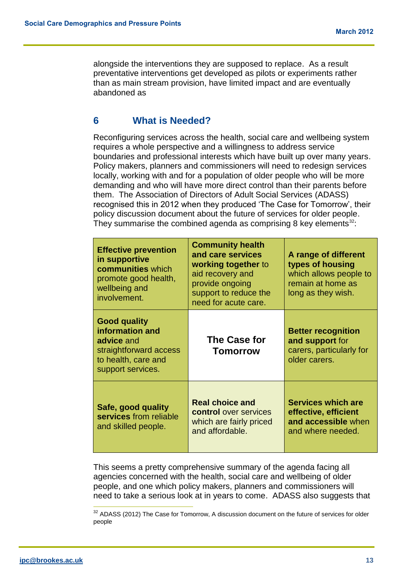alongside the interventions they are supposed to replace. As a result preventative interventions get developed as pilots or experiments rather than as main stream provision, have limited impact and are eventually abandoned as

## **6 What is Needed?**

Reconfiguring services across the health, social care and wellbeing system requires a whole perspective and a willingness to address service boundaries and professional interests which have built up over many years. Policy makers, planners and commissioners will need to redesign services locally, working with and for a population of older people who will be more demanding and who will have more direct control than their parents before them. The Association of Directors of Adult Social Services (ADASS) recognised this in 2012 when they produced 'The Case for Tomorrow', their policy discussion document about the future of services for older people. They summarise the combined agenda as comprising 8 key elements $^{32}$ .

| <b>Effective prevention</b><br>in supportive<br>communities which<br>promote good health,<br>wellbeing and<br>involvement. | <b>Community health</b><br>and care services<br>working together to<br>aid recovery and<br>provide ongoing<br>support to reduce the<br>need for acute care. | A range of different<br>types of housing<br>which allows people to<br>remain at home as<br>long as they wish. |
|----------------------------------------------------------------------------------------------------------------------------|-------------------------------------------------------------------------------------------------------------------------------------------------------------|---------------------------------------------------------------------------------------------------------------|
| <b>Good quality</b><br>information and<br>advice and<br>straightforward access<br>to health, care and<br>support services. | <b>The Case for</b><br><b>Tomorrow</b>                                                                                                                      | <b>Better recognition</b><br>and support for<br>carers, particularly for<br>older carers.                     |
| Safe, good quality<br>services from reliable<br>and skilled people.                                                        | <b>Real choice and</b><br><b>control</b> over services<br>which are fairly priced<br>and affordable.                                                        | <b>Services which are</b><br>effective, efficient<br>and accessible when<br>and where needed.                 |

This seems a pretty comprehensive summary of the agenda facing all agencies concerned with the health, social care and wellbeing of older people, and one which policy makers, planners and commissioners will need to take a serious look at in years to come. ADASS also suggests that

 $32$  ADASS (2012) The Case for Tomorrow, A discussion document on the future of services for older people